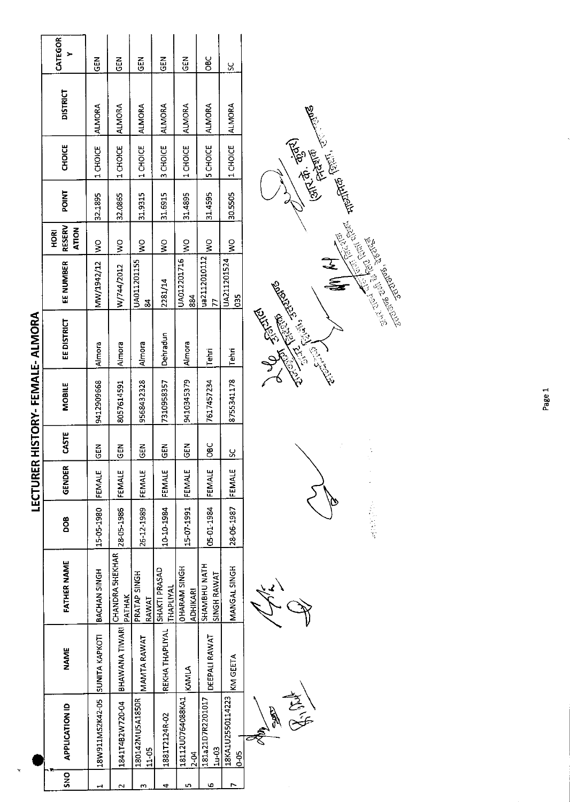| l |
|---|
|   |
|   |
|   |
|   |
|   |
|   |
|   |
|   |
|   |
|   |
|   |
|   |
|   |
|   |
| I |
|   |
|   |
|   |
|   |
|   |
|   |
|   |
|   |
| I |
|   |
|   |
|   |

l.

|               |                                  |                 |                                         |            | LECTURER      |             | HISTORY-FEMALE-ALMORA |             |                              |                                |              |                |                 |            |
|---------------|----------------------------------|-----------------|-----------------------------------------|------------|---------------|-------------|-----------------------|-------------|------------------------------|--------------------------------|--------------|----------------|-----------------|------------|
| $\frac{1}{2}$ | <b>APPLICATION ID</b>            | NAME            | FATHER NAME                             | 800        | GENDER        | CASTE       | <b>MOBILE</b>         | EE DISTRICT | EE NUMBER                    | RESERV<br>ATION<br><b>HORI</b> | <b>POINT</b> | <b>CHOICE</b>  | <b>DISTRICT</b> | CATEGOR    |
|               | 18W911MS2K42-05 SUNITA KAPKOTI   |                 | BACHAN SINGH                            | 15-05-1980 | <b>FEMALE</b> | <b>IGEN</b> | 9412909668            | Almora      | MW/1942/12                   | $\frac{1}{2}$                  | 32.1895      | 1 CHOICE       | <b>ALMORA</b>   | 집<br>5     |
| N             | 184114B2W720-04                  | BHAWANA TIWARI  | <b>CHANDRA SHEKHAR</b><br><b>PATHAK</b> | 28-05-1986 | FEMALE        | $rac{2}{3}$ | 8057614591            | Almora      | W/744/2012                   | $\frac{8}{5}$                  | 32.0865      | 1 CHOICE       | ALMORA          | 옵<br>U     |
| m             | 180142MU5A1850R<br>$11 - 05$     | MAMTA RAWAT     | PRATAP SINGH<br>RAWAT                   | 26-12-1989 | <b>FEMALE</b> | <b>GEN</b>  | 9568432328            | Almora      | UA011201155<br>$\frac{8}{4}$ | $\frac{1}{2}$                  | 31.9315      | 1 CHOICE       | <b>ALMORA</b>   | 13         |
|               | 1881T2124R-02                    | REKHA THAPLIYAL | SHAKTI PRASAD<br><b>THAPLIYAL</b>       | 10-10-1984 | FEMALE        | <b>ABD</b>  | 7310958357            | Dehradun    | 2281/14                      | ş                              | 31.6915      | 3 CHOICE       | <b>ALMORA</b>   | 즚<br>5     |
| u٦            | 18112U0764088KA1<br>$2 - 04$     | KAMLA           | <b>OHARAM SINGH</b><br><b>ADHIKARI</b>  | 15-07-1991 | <b>FEMALE</b> | <b>M3D</b>  | 9410345379            | Almora      | UA012201716<br>884           | Ş                              | 31.4895      | 1 CHOICE       | ALMORA          | 듡          |
| ю             | 181a21D7R2201017<br><b>1u-03</b> | DEEPALI RAWAT   | SHAMBHU NATH<br><b>SINGH RAWAT</b>      | 05-01-1984 | FEMALE        | 10BC        | 7617457234            | Tehri       | ua2112010112<br>77           | $\frac{1}{2}$                  | 31.4595      | <b>SCHOICE</b> | <b>ALMORA</b>   | <b>SEC</b> |
|               | 18KA1U2550114223<br>$0-05$       | KM GEETA        | MANGAL SINGH                            | 28-06-1987 | FEMALE        | <u>ა</u>    | 8755341178            | l Tehri     | UA211201524<br>83            | $\frac{1}{2}$                  | 30.5505      | 1 CHOICE       | ALMORA          | ပ္တ        |
|               |                                  |                 |                                         |            |               |             |                       | <b>E</b>    |                              |                                |              |                |                 |            |

 $\frac{1}{2}$ R 7

الكماني  $\mathscr{P}$ 

2000年4月

 $\frac{1}{2}$  and  $\frac{1}{2}$  and  $\frac{1}{2}$ **Collage Collage Collage Collage Collage Collage Collage Collage Collage Collage Collage Collage Col Contract Section Section**  $\frac{1}{\mathbb{Z}}$ EREGIST CONTROL ENSTEIN  $\widetilde{\mathbb{R}}$ Solo ر.<br>پ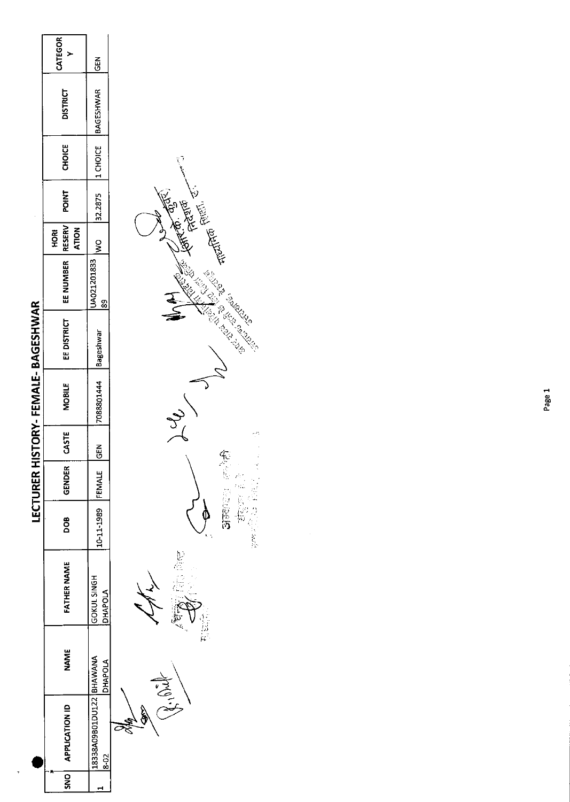|                         | CATEGOR                                      | <b>GEN</b>                              |  |
|-------------------------|----------------------------------------------|-----------------------------------------|--|
|                         | <b>DISTRICT</b>                              | 32.2875  1 CHOICE  BAGESHWAR            |  |
|                         | <b>CHOICE</b>                                |                                         |  |
|                         | <b>POINT</b>                                 |                                         |  |
|                         | <b>RESERV</b><br><b>ATION</b><br><b>HORI</b> | IWO                                     |  |
|                         | EE DISTRICT   EE NUMBER                      | UA021201833                             |  |
| ISTORY-FEMALE-BAGESHWAR |                                              |                                         |  |
|                         | <b>MOBILE</b>                                | 7088801444 Bageshwar                    |  |
|                         | CASTE                                        | $rac{5}{6}$                             |  |
| <b>LECTURER H</b>       | GENDER                                       |                                         |  |
|                         | 80<br>D                                      | 10-11-1989 FEMALE                       |  |
|                         | FATHER NAME                                  | GOKUL SINGH<br><b>DHAPOLA</b>           |  |
|                         | NAME                                         | <b>DHAPOLA</b>                          |  |
|                         | SNO   APPLICATION ID                         | 18338A09B01DU122   BHAWANA<br>$8 - 0.2$ |  |
|                         |                                              |                                         |  |

 $\overline{ }$ 

چ<br>پښې  $\overline{c}$ 

 $\oint_C$ 之间 **RANTING ROOM** 

TELETING FOREST RA<br>KARA ing Santa Road<br>Company Santa Road<br>Company Santa Road  $\begin{pmatrix} 1 & 1 \\ 1 & 1 \\ 1 & 1 \end{pmatrix}$ 化合金 医阴囊的 医心包 医心包 医心包 医心包 计数据

 $\zeta$  )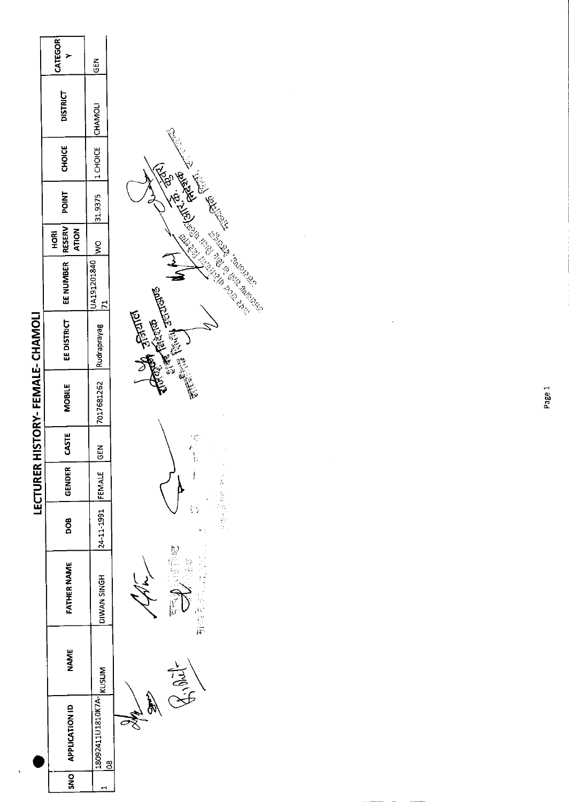|                        | <b>CATEGOR</b>         | $rac{5}{9}$                 |                                                         |
|------------------------|------------------------|-----------------------------|---------------------------------------------------------|
|                        | <b>DISTRICT</b>        |                             |                                                         |
|                        | <b>CHOICE</b>          | 1 CHOICE CHAMOLI            | <b>CONTROLLED STATES</b>                                |
|                        | <b>POINT</b>           | 31.9375                     |                                                         |
|                        | <b>ATION</b><br>호<br>모 | o<br>S                      |                                                         |
|                        | EE NUMBER   RESERV     | UA191201840<br>$\mathbf{r}$ | $\frac{1}{2}$                                           |
|                        | EEDISTRICT             | Rudraprayag                 | <b>Community of Property</b>                            |
| HISTORY-FEMALE-CHAMOLI | <b>MOBILE</b>          | 7017681262                  |                                                         |
|                        | CASTE                  | IGEN                        | ぼうもじ                                                    |
| <b>LECTURER</b>        | GENDER                 |                             | į                                                       |
|                        | <b>DOB</b>             | 24-11-1991 FEMALE           |                                                         |
|                        | <b>FATHER NAME</b>     | DIWAN SINGH                 | ty<br>E<br>im<br>1935<br>1937<br>ぐん<br>$\sum_{i=1}^{n}$ |
|                        | <b>NAME</b>            | <b>KUSUM</b>                | Tag.<br>C                                               |
|                        | APPLICATION ID         | 18092411U1810K7A-           | <b>Gales</b><br>$\frac{8}{5}$                           |
|                        | $rac{1}{2}$            |                             |                                                         |



Page 1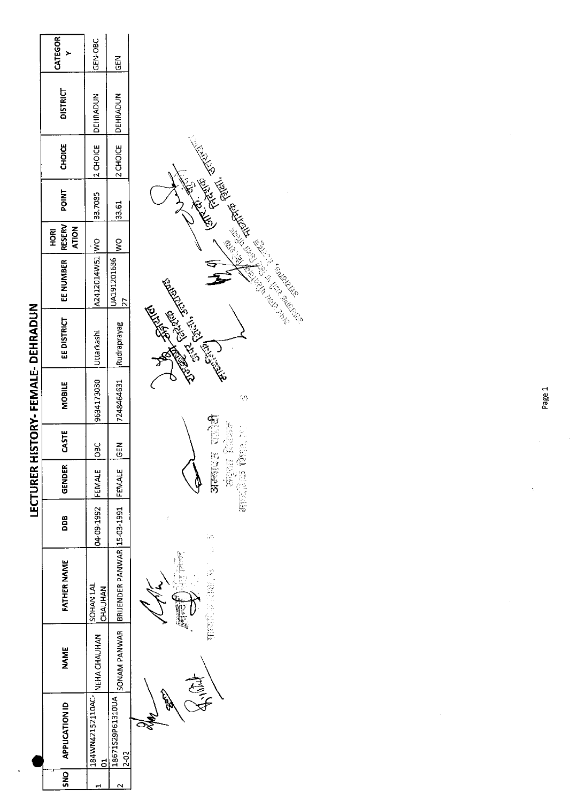|                         | <b>CATEGOR</b>             | GEN-OBC                      | $\frac{2}{9}$                                                            |  |
|-------------------------|----------------------------|------------------------------|--------------------------------------------------------------------------|--|
|                         | <b>DISTRICT</b>            | 33.7085  2 CHOICE   DEHRADUN | 2 CHOICE   DEHRADUN                                                      |  |
|                         | <b>CHOICE</b>              |                              |                                                                          |  |
|                         | <b>POINT</b>               |                              | 33.61                                                                    |  |
|                         | <b>ATION</b><br><b>ROH</b> |                              | $\frac{1}{2}$                                                            |  |
|                         | EE NUMBER   RESERV         | A2412014W51 WO               | JA191201636                                                              |  |
| HISTORY-FEMALE-DEHRADUN | <b>EE DISTRICT</b>         | Uttarkashi                   |                                                                          |  |
|                         | <b>MOBILE</b>              | 9634173030                   | 7248464631 Rudraprayag                                                   |  |
|                         | CASTE                      | <u>පි</u>                    | <b>IGEN</b>                                                              |  |
| LECTURER                | <b>GENDER</b>              |                              |                                                                          |  |
|                         | 80                         | 04-09-1992 FEMALE            |                                                                          |  |
|                         | FATHER NAME                | ISOHAN LAL<br><b>CHAUHAN</b> |                                                                          |  |
|                         | <b>NAME</b>                | NEHACHAUHAN                  |                                                                          |  |
|                         | <b>APPLICATION ID</b>      | 184WN42152110AC-             | 18671529P61310UA SONAM PANWAR BRIJENDER PANWAR 15-03-1991 FEMALE<br>2-02 |  |
|                         | SNO                        |                              |                                                                          |  |

 $\ddot{\phantom{0}}$ 



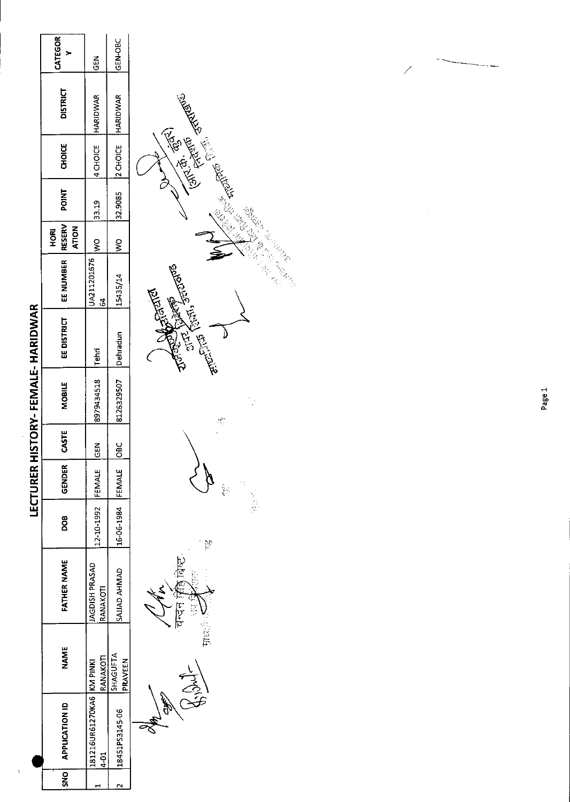| <b>CATEGOR</b><br><b>DISTRICT</b><br><b>CHOICE</b><br><b>NIC</b><br><b>RESERV</b><br><b>ATION</b><br>HORI<br>EE NUMBER<br>EE DISTRICT<br>MOBILE<br>CASTE<br>GENDER<br>8OO<br><b>FATHER NAME</b> | $\frac{2}{3}$<br>HARIDWAR<br>4 CHOICE<br>33.19<br>ş<br>JA211201676<br>2<br>2<br><b>Tehri</b><br>8979434518<br>$\frac{5}{9}$<br><b>FEMALE</b><br>12-10-1992<br>AGDISH PRASAD<br>RANAKOTI | GEN-OBC<br>2 CHOICE HARIDWAR<br>32.9085<br>ջ<br>><br>15435/14<br>Dehradun<br>8126329507<br>$rac{C}{C}$<br>16-06-1984 FEMALE<br>SAJJAD AHMAD | <b>CATCAS RESEARS</b><br><b>Children Control Control</b><br>गन्न सिंह बिच<br>$\frac{1}{2}$ |
|-------------------------------------------------------------------------------------------------------------------------------------------------------------------------------------------------|-----------------------------------------------------------------------------------------------------------------------------------------------------------------------------------------|---------------------------------------------------------------------------------------------------------------------------------------------|--------------------------------------------------------------------------------------------|
|                                                                                                                                                                                                 |                                                                                                                                                                                         |                                                                                                                                             |                                                                                            |
|                                                                                                                                                                                                 |                                                                                                                                                                                         |                                                                                                                                             |                                                                                            |
|                                                                                                                                                                                                 |                                                                                                                                                                                         |                                                                                                                                             |                                                                                            |
|                                                                                                                                                                                                 |                                                                                                                                                                                         |                                                                                                                                             |                                                                                            |
| NAME                                                                                                                                                                                            | RANAKOTI                                                                                                                                                                                | SHAGUFTA<br>PRAVEEN                                                                                                                         | يسم<br>نگري                                                                                |
| <b>APPLICATION ID</b>                                                                                                                                                                           | 181216UR61270KA6 KM PINKI<br>$4 - 01$                                                                                                                                                   | 18451PS3145-06                                                                                                                              | <b>1947</b>                                                                                |
| <b>SNO</b>                                                                                                                                                                                      |                                                                                                                                                                                         |                                                                                                                                             |                                                                                            |

 $\frac{1}{\sqrt{2}}$ 



 $\frac{1}{\sqrt{2}}$ 

التجم<br>مرگه

 $\overline{\mathscr{S}}$ 

J,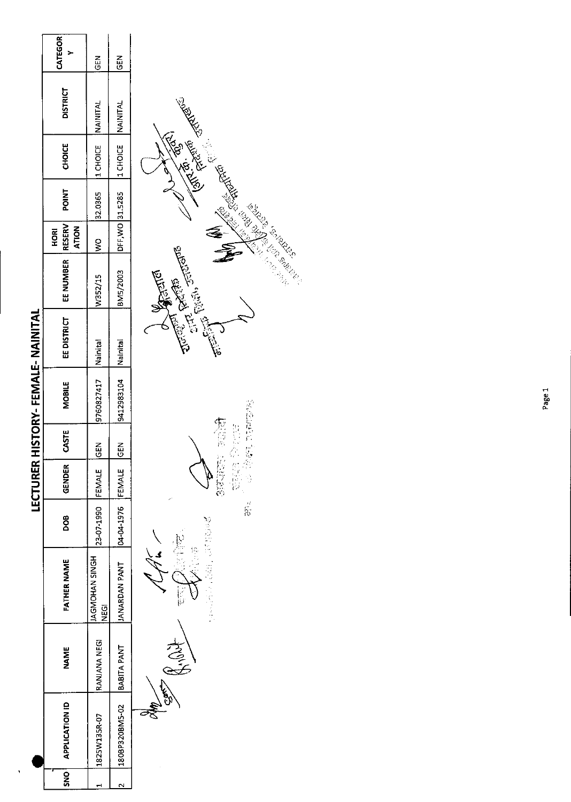| SNO   APPLICATION ID<br>1825W135R-07 | RANJANA NEGI<br>NAME | <b>AGMOHAN SINGH</b><br><b>FATHER NAME</b><br><b>SPA</b> | 23-07-1990 FEMALE<br><b>POB</b> | <b>LECTURER</b><br>GENDER | CASTE<br><b>KON</b> | HISTORY-FEMALE-NAINITAL<br>9760827417   Nainital<br>MOBILE | EE DISTRICT | EE NUMBER   RESERV<br>W352/15 | <b>ATION</b><br><b>HORI</b><br>$\frac{1}{2}$ | <b>POINT</b>    | 32.0365  1 CHOICE NAINITAL<br><b>CHOICE</b> | <b>DISTRICT</b> | <b>CATEGOR</b><br><b>KOD</b> |
|--------------------------------------|----------------------|----------------------------------------------------------|---------------------------------|---------------------------|---------------------|------------------------------------------------------------|-------------|-------------------------------|----------------------------------------------|-----------------|---------------------------------------------|-----------------|------------------------------|
| 180BP320BM5-02 BABITA PANT           |                      | <b>IANARDAN PANT</b>                                     | 04-04-1976 FEMALE               |                           | $\frac{2}{5}$       | Istinish Natcases.che                                      |             | BM5/2003                      |                                              | DFF, WO 31.5285 | 1 CHOICE NAINTAL                            |                 | <b>MOO</b>                   |
|                                      |                      |                                                          |                                 |                           |                     |                                                            |             |                               |                                              |                 |                                             |                 |                              |

 $\ddot{\phantom{a}}$ 

秘密的复数 医学说  $\emph{v}$ English

使任意 光盘反射器 

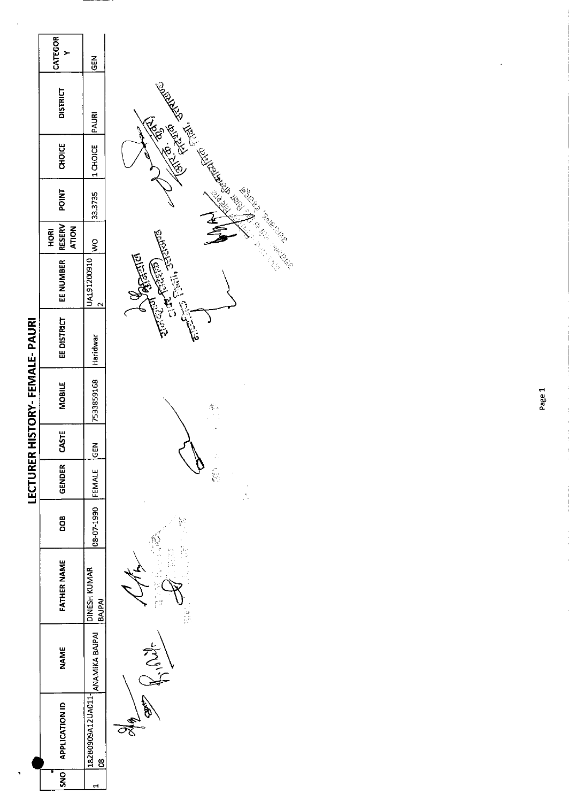|                              | <b>CATEGOR</b>                 | $rac{2}{5}$                        |
|------------------------------|--------------------------------|------------------------------------|
|                              | <b>DISTRICT</b>                |                                    |
|                              | <b>CHOICE</b>                  | 33.3735  1 CHOICE  PAURI           |
|                              | <b>POINT</b>                   |                                    |
|                              | RESERV<br><b>ATION</b><br>HORI | $\frac{1}{2}$                      |
|                              | I EE NUMBER                    | JA191200910                        |
|                              | EE DISTRICT                    |                                    |
| ECTURER HISTORY-FEMALE-PAURI | <b>NIGBILE</b>                 | 7533859168 Haridwar                |
|                              | <b>STE</b>                     | $rac{2}{5}$                        |
|                              | GENDER                         |                                    |
|                              | 80<br>DO                       | 08-07-1990 FEMALE                  |
|                              | FATHER NAME                    | DINESH KUMAR<br>BAJPAI             |
|                              | NAME                           |                                    |
|                              | SNO APPLICATION ID             | 1.18280909A12UA011- ANAMIKA BAJPAI |
|                              |                                |                                    |

 $\ddot{\phantom{1}}$ 



 $\frac{\partial f}{\partial t}$ e<br>Vo

 $\frac{1}{2}$ 

**AND CREATED SERVER AND STATES IN STRAIGHTER** Company Company د ŀ۶

Page 1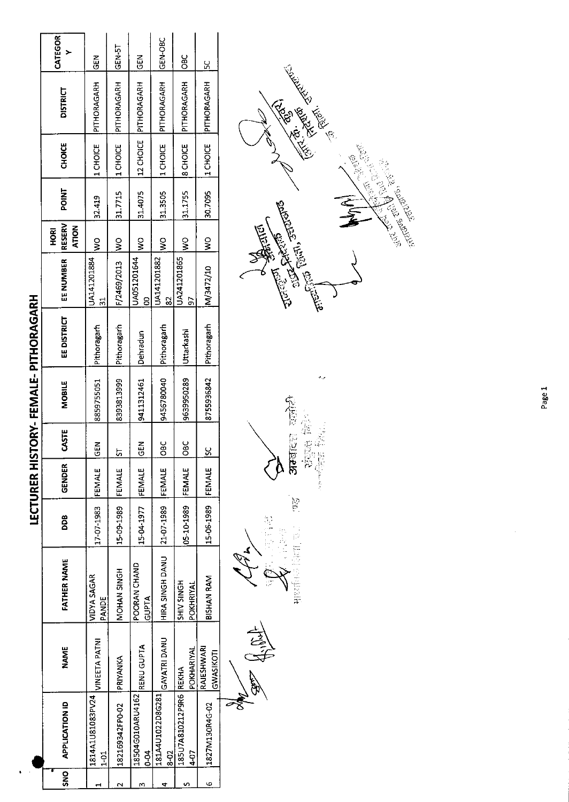|                           | CATEGOR                                      | ă                          | GEN-5T          | $\frac{2}{3}$                           | GEN-OBC                               | $rac{C}{C}$                    | ں<br>م                  |  |
|---------------------------|----------------------------------------------|----------------------------|-----------------|-----------------------------------------|---------------------------------------|--------------------------------|-------------------------|--|
|                           | <b>DISTRICT</b>                              | PITHORAGARH                | PITHORAGARH     | 12 CHOICE PITHORAGARH                   | PITHORAGARH                           | PITHORAGARH                    | PITHORAGARH             |  |
|                           | CHOICE                                       | 1 CHOICE                   | 1 CHOICE        |                                         | 1 CHOICE                              | <b>B</b> CHOICE                | 1 CHOICE                |  |
|                           | POINT                                        | 32.419                     | 31.7715         | 31.4075                                 | 31.3505                               | 31.1755                        | 30.7095                 |  |
|                           | <b>RESERV</b><br><b>ATION</b><br><b>HORI</b> | $\frac{1}{2}$              | $\frac{1}{2}$   | $\frac{1}{2}$                           | $\frac{1}{2}$                         | $\frac{8}{2}$                  | $\frac{8}{2}$           |  |
|                           | EE NUMBER                                    | UA141201884<br>51          | F/2469/2013     | JA051201644<br><u>8</u>                 | UA141201882<br>2                      | JA241201865<br>50              | M/3472/10               |  |
| ISTORY-FEMALE-PITHORAGARH | EE DISTRICT                                  | Pithoragarh                | Pithoragarh     | Dehradun                                | Pithoragarh                           | Uttarkashi                     | Pithoragarh             |  |
|                           | <b>MOBILE</b>                                | 8859755051                 | 8393813999      | 9411312461                              | 9456780040                            | 9639950289                     | 8755936842              |  |
|                           | CASTE                                        | <b>K3D</b>                 | <u>ს</u>        | <b>NED</b>                              | $rac{C}{C}$                           | $rac{C}{C}$                    | <u>ყ</u>                |  |
| <b>LECTURER HI</b>        | GENDER                                       | <b>FEMALE</b>              | FEMALE          | FEMALE                                  |                                       | FEMALE                         | FEMALE                  |  |
|                           | DDB                                          | 17-07-1983                 | 15-09-1989      | 15-04-1977                              | 21-07-1989 FEMALE                     | 05-10-1989                     | 15-06-1989              |  |
|                           | FATHER NAME                                  | VIDYA SAGAR<br>PANDE       | MOHAN SINGH     | POORAN CHAND<br><b>GUPTA</b>            | HIRA SINGH DANU                       | <b>SHIV SINGH</b><br>POKHRIYAL | BISHAN RAM              |  |
|                           | <b>NAME</b>                                  | <b>VINEETA PATNI</b>       | PRIYANKA        |                                         |                                       | POKHARIYAL                     | RAJESHWARI<br>GWASIKOTI |  |
|                           | <b>APPLICATION ID</b>                        | 1814A1U81083PV24<br>$1-01$ | 182169342FP0-02 | 18504G010ARU4162 RENU GUPTA<br>$6 - 04$ | 181A4U1022D8G281 GAYATRI DANU<br>8-02 | 185U7A810212P9R6 REKHA<br>4-07 | 1827M130R4G-02          |  |
|                           | <b>SNS</b>                                   |                            | N               | m                                       |                                       |                                | ю                       |  |
|                           |                                              |                            |                 |                                         |                                       |                                |                         |  |

1

 $\begin{bmatrix} 1 & 0 \\ 0 & 1 \end{bmatrix}$ 口吸 共立 反正管理